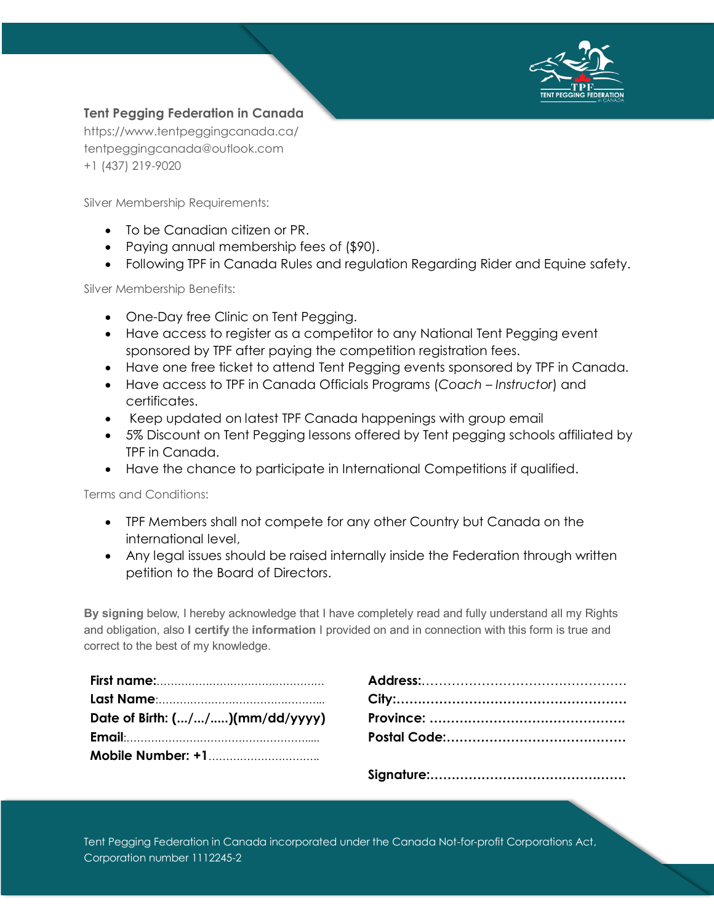

## **Tent Pegging Federation in Canada**

https://www.tentpeggingcanada.ca/ tentpeggingcanada@outlook.com +1 (437) 219-9020

Silver Membership Requirements:

- To be Canadian citizen or PR.
- Paying annual membership fees of (\$90).
- Following TPF in Canada Rules and regulation Regarding Rider and Equine safety.

Silver Membership Benefits:

- One-Day free Clinic on Tent Pegging.
- Have access to register as a competitor to any National Tent Pegging event sponsored by TPF after paying the competition registration fees.
- Have one free ticket to attend Tent Pegging events sponsored by TPF in Canada.
- Have access to TPF in Canada Officials Programs (*Coach – Instructor*) and certificates.
- Keep updated on latest TPF Canada happenings with group email
- 5% Discount on Tent Pegging lessons offered by Tent pegging schools affiliated by TPF in Canada.
- Have the chance to participate in International Competitions if qualified.

Terms and Conditions:

- TPF Members shall not compete for any other Country but Canada on the international level,
- Any legal issues should be raised internally inside the Federation through written petition to the Board of Directors.

**By signing** below, I hereby acknowledge that I have completely read and fully understand all my Rights and obligation, also **I certify** the **information** I provided on and in connection with this form is true and correct to the best of my knowledge.

| Date of Birth: $(//)(mm/dd/yyy)$ |
|----------------------------------|
|                                  |
| <b>Mobile Number: +1</b>         |

| Date of Birth: (//)(mm/dd/yyyy) |  |
|---------------------------------|--|
|                                 |  |
|                                 |  |
|                                 |  |